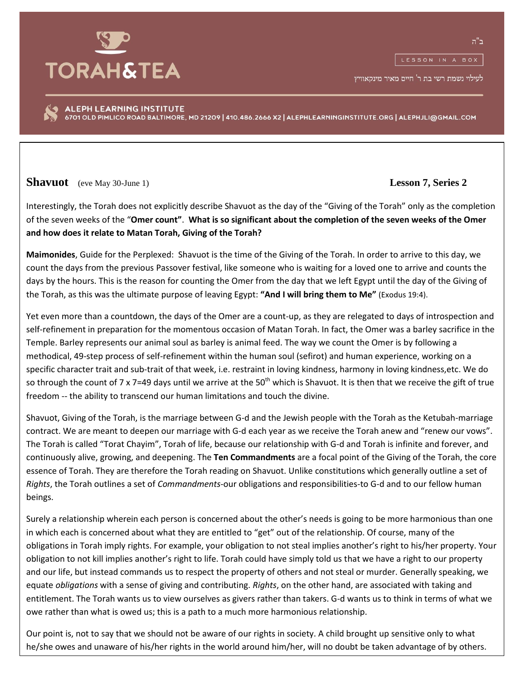

לעילוי נשמת רשי בת ר' חיים מאיר מינקאוויץ

ALEPH LEARNING INSTITUTE 6701 OLD PIMLICO ROAD BALTIMORE, MD 21209 | 410.486.2666 X2 | ALEPHLEARNINGINSTITUTE.ORG | ALEPHJLI@GMAIL.COM

**Shavuot** (eve May 30-June 1) **Lesson 7, Series 2**

Interestingly, the Torah does not explicitly describe Shavuot as the day of the "Giving of the Torah" only as the completion of the seven weeks of the "**Omer count"**. **What is so significant about the completion of the seven weeks of the Omer and how does it relate to Matan Torah, Giving of the Torah?**

**Maimonides**, Guide for the Perplexed: Shavuot is the time of the Giving of the Torah. In order to arrive to this day, we count the days from the previous Passover festival, like someone who is waiting for a loved one to arrive and counts the days by the hours. This is the reason for counting the Omer from the day that we left Egypt until the day of the Giving of the Torah, as this was the ultimate purpose of leaving Egypt: **"And I will bring them to Me"** (Exodus 19:4).

Yet even more than a countdown, the days of the Omer are a count-up, as they are relegated to days of introspection and self-refinement in preparation for the momentous occasion of Matan Torah. In fact, the Omer was a barley sacrifice in the Temple. Barley represents our animal soul as barley is animal feed. The way we count the Omer is by following a methodical, 49-step process of self-refinement within the human soul (sefirot) and human experience, working on a specific character trait and sub-trait of that week, i.e. restraint in loving kindness, harmony in loving kindness,etc. We do so through the count of 7 x 7=49 days until we arrive at the 50<sup>th</sup> which is Shavuot. It is then that we receive the gift of true freedom -- the ability to transcend our human limitations and touch the divine.

Shavuot, Giving of the Torah, is the marriage between G-d and the Jewish people with the Torah as the Ketubah-marriage contract. We are meant to deepen our marriage with G-d each year as we receive the Torah anew and "renew our vows". The Torah is called "Torat Chayim", Torah of life, because our relationship with G-d and Torah is infinite and forever, and continuously alive, growing, and deepening. The **Ten Commandments** are a focal point of the Giving of the Torah, the core essence of Torah. They are therefore the Torah reading on Shavuot. Unlike constitutions which generally outline a set of *Rights*, the Torah outlines a set of *Commandments*-our obligations and responsibilities-to G-d and to our fellow human beings.

Surely a relationship wherein each person is concerned about the other's needs is going to be more harmonious than one in which each is concerned about what they are entitled to "get" out of the relationship. Of course, many of the obligations in Torah imply rights. For example, your obligation to not steal implies another's right to his/her property. Your obligation to not kill implies another's right to life. Torah could have simply told us that we have a right to our property and our life, but instead commands us to respect the property of others and not steal or murder. Generally speaking, we equate *obligations* with a sense of giving and contributing. *Rights*, on the other hand, are associated with taking and entitlement. The Torah wants us to view ourselves as givers rather than takers. G-d wants us to think in terms of what we owe rather than what is owed us; this is a path to a much more harmonious relationship.

Our point is, not to say that we should not be aware of our rights in society. A child brought up sensitive only to what he/she owes and unaware of his/her rights in the world around him/her, will no doubt be taken advantage of by others.